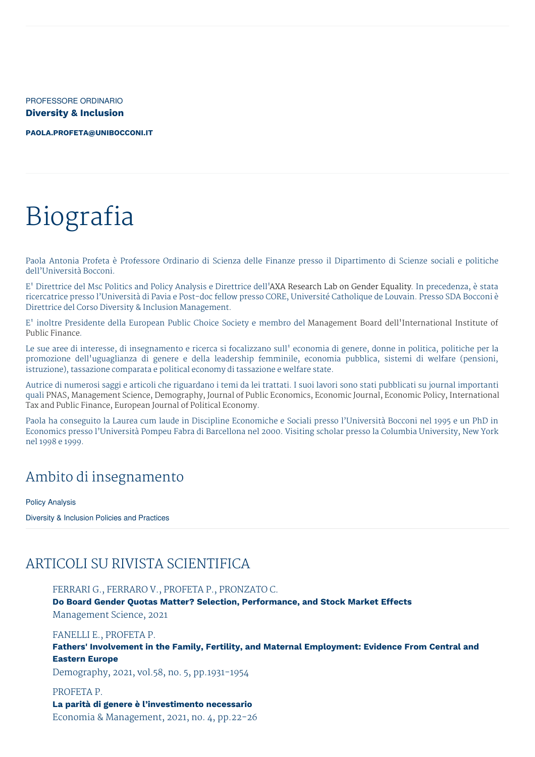PROFESSORE ORDINARIO **Diversity & Inclusion**

**[PAOLA.PROFETA@UNIBOCCONI.IT](mailto:paola.profeta@unibocconi.it)**

# Biografia

Paola Antonia Profeta è Professore Ordinario di Scienza delle Finanze presso il Dipartimento di Scienze sociali e politiche dell'Università Bocconi.

E' Direttrice del Msc Politics and Policy Analysis e Direttrice dell'AXA Research Lab on Gender Equality. In precedenza, è stata ricercatrice presso l'Università di Pavia e Post-doc fellow presso CORE, Université Catholique de Louvain. Presso SDA Bocconi è Direttrice del Corso Diversity & Inclusion Management.

E' inoltre Presidente della European Public Choice Society e membro del Management Board dell'International Institute of Public Finance.

Le sue aree di interesse, di insegnamento e ricerca si focalizzano sull' economia di genere, donne in politica, politiche per la promozione dell'uguaglianza di genere e della leadership femminile, economia pubblica, sistemi di welfare (pensioni, istruzione), tassazione comparata e political economy di tassazione e welfare state.

Autrice di numerosi saggi e articoli che riguardano i temi da lei trattati. I suoi lavori sono stati pubblicati su journal importanti quali PNAS, Management Science, Demography, Journal of Public Economics, Economic Journal, Economic Policy, International Tax and Public Finance, European Journal of Political Economy.

Paola ha conseguito la Laurea cum laude in Discipline Economiche e Sociali presso l'Università Bocconi nel 1995 e un PhD in Economics presso l'Università Pompeu Fabra di Barcellona nel 2000. Visiting scholar presso la Columbia University, New York nel 1998 e 1999.

### Ambito di insegnamento

Policy Analysis

Diversity & Inclusion Policies and Practices

# ARTICOLI SU RIVISTA SCIENTIFICA

FERRARI G., FERRARO V., PROFETA P., PRONZATO C.

**Do Board Gender Quotas Matter? Selection, Performance, and Stock Market Effects**

Management Science, 2021

FANELLI E., PROFETA P.

**Fathers' Involvement in the Family, Fertility, and Maternal Employment: Evidence From Central and Eastern Europe**

Demography, 2021, vol.58, no. 5, pp.1931-1954

#### PROFETA P.

**La parità di genere è l'investimento necessario**

Economia & Management, 2021, no. 4, pp.22-26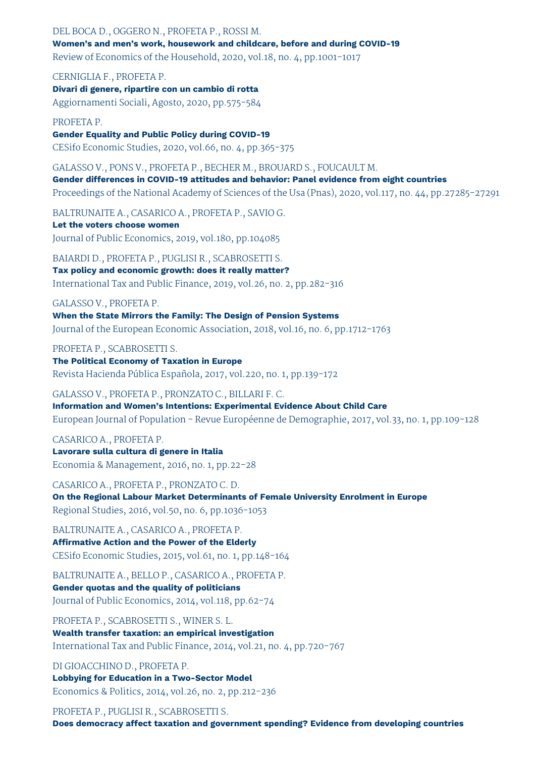DEL BOCA D., OGGERO N., PROFETA P., ROSSI M. **Women's and men's work, housework and childcare, before and during COVID-19** Review of Economics of the Household, 2020, vol.18, no. 4, pp.1001-1017

CERNIGLIA F., PROFETA P. **Divari di genere, ripartire con un cambio di rotta** Aggiornamenti Sociali, Agosto, 2020, pp.575-584

PROFETA P. **Gender Equality and Public Policy during COVID-19** CESifo Economic Studies, 2020, vol.66, no. 4, pp.365-375

GALASSO V., PONS V., PROFETA P., BECHER M., BROUARD S., FOUCAULT M. **Gender differences in COVID-19 attitudes and behavior: Panel evidence from eight countries** Proceedings of the National Academy of Sciences of the Usa (Pnas), 2020, vol.117, no. 44, pp.27285-27291

BALTRUNAITE A., CASARICO A., PROFETA P., SAVIO G. **Let the voters choose women** Journal of Public Economics, 2019, vol.180, pp.104085

BAIARDI D., PROFETA P., PUGLISI R., SCABROSETTI S. **Tax policy and economic growth: does it really matter?** International Tax and Public Finance, 2019, vol.26, no. 2, pp.282-316

GALASSO V., PROFETA P. **When the State Mirrors the Family: The Design of Pension Systems** Journal of the European Economic Association, 2018, vol.16, no. 6, pp.1712-1763

PROFETA P., SCABROSETTI S. **The Political Economy of Taxation in Europe** Revista Hacienda Pública Española, 2017, vol.220, no. 1, pp.139-172

GALASSO V., PROFETA P., PRONZATO C., BILLARI F. C. **Information and Women's Intentions: Experimental Evidence About Child Care** European Journal of Population - Revue Européenne de Demographie, 2017, vol.33, no. 1, pp.109-128

CASARICO A., PROFETA P. **Lavorare sulla cultura di genere in Italia** Economia & Management, 2016, no. 1, pp.22-28

CASARICO A., PROFETA P., PRONZATO C. D. **On the Regional Labour Market Determinants of Female University Enrolment in Europe** Regional Studies, 2016, vol.50, no. 6, pp.1036-1053

BALTRUNAITE A., CASARICO A., PROFETA P. **Affirmative Action and the Power of the Elderly** CESifo Economic Studies, 2015, vol.61, no. 1, pp.148-164

BALTRUNAITE A., BELLO P., CASARICO A., PROFETA P. **Gender quotas and the quality of politicians** Journal of Public Economics, 2014, vol.118, pp.62-74

PROFETA P., SCABROSETTI S., WINER S. L. **Wealth transfer taxation: an empirical investigation** International Tax and Public Finance, 2014, vol.21, no. 4, pp.720-767

DI GIOACCHINO D., PROFETA P. **Lobbying for Education in a Two-Sector Model** Economics & Politics, 2014, vol.26, no. 2, pp.212-236

PROFETA P., PUGLISI R., SCABROSETTI S. **Does democracy affect taxation and government spending? Evidence from developing countries**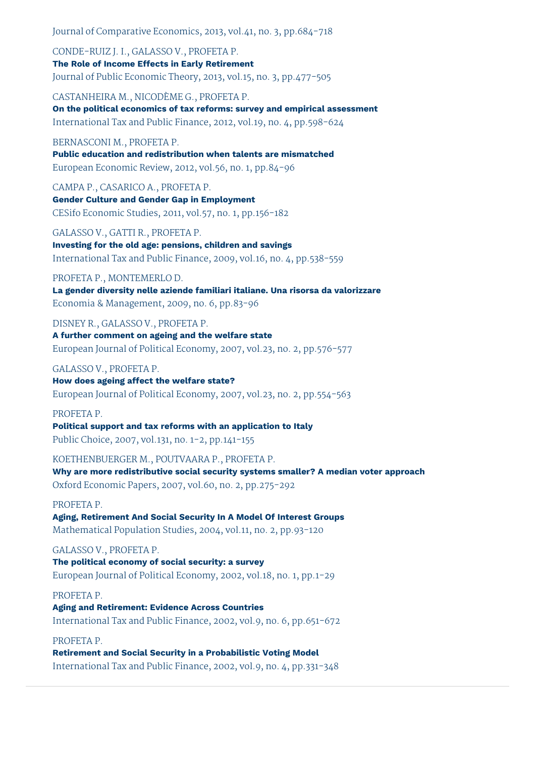Journal of Comparative Economics, 2013, vol.41, no. 3, pp.684-718

CONDE-RUIZ J. I., GALASSO V., PROFETA P. **The Role of Income Effects in Early Retirement** Journal of Public Economic Theory, 2013, vol.15, no. 3, pp.477-505

CASTANHEIRA M., NICODÈME G., PROFETA P. **On the political economics of tax reforms: survey and empirical assessment** International Tax and Public Finance, 2012, vol.19, no. 4, pp.598-624

BERNASCONI M., PROFETA P. **Public education and redistribution when talents are mismatched** European Economic Review, 2012, vol.56, no. 1, pp.84-96

CAMPA P., CASARICO A., PROFETA P. **Gender Culture and Gender Gap in Employment** CESifo Economic Studies, 2011, vol.57, no. 1, pp.156-182

GALASSO V., GATTI R., PROFETA P. **Investing for the old age: pensions, children and savings** International Tax and Public Finance, 2009, vol.16, no. 4, pp.538-559

#### PROFETA P., MONTEMERLO D.

**La gender diversity nelle aziende familiari italiane. Una risorsa da valorizzare** Economia & Management, 2009, no. 6, pp.83-96

DISNEY R., GALASSO V., PROFETA P.

**A further comment on ageing and the welfare state** European Journal of Political Economy, 2007, vol.23, no. 2, pp.576-577

### GALASSO V., PROFETA P.

**How does ageing affect the welfare state?** European Journal of Political Economy, 2007, vol.23, no. 2, pp.554-563

#### PROFETA P.

**Political support and tax reforms with an application to Italy** Public Choice, 2007, vol.131, no. 1-2, pp.141-155

KOETHENBUERGER M., POUTVAARA P., PROFETA P. **Why are more redistributive social security systems smaller? A median voter approach** Oxford Economic Papers, 2007, vol.60, no. 2, pp.275-292

#### PROFETA P.

**Aging, Retirement And Social Security In A Model Of Interest Groups** Mathematical Population Studies, 2004, vol.11, no. 2, pp.93-120

### GALASSO V., PROFETA P.

**The political economy of social security: a survey** European Journal of Political Economy, 2002, vol.18, no. 1, pp.1-29

### PROFETA P.

**Aging and Retirement: Evidence Across Countries** International Tax and Public Finance, 2002, vol.9, no. 6, pp.651-672

### PROFETA P.

**Retirement and Social Security in a Probabilistic Voting Model** International Tax and Public Finance, 2002, vol.9, no. 4, pp.331-348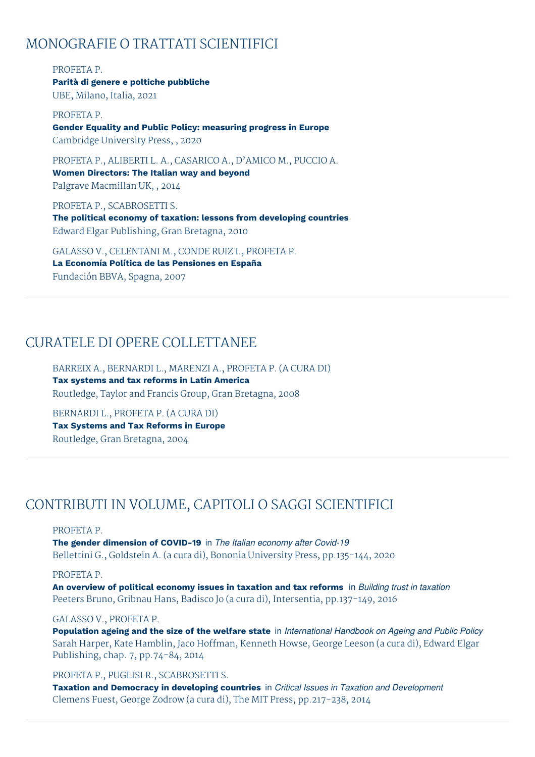### MONOGRAFIE O TRATTATI SCIENTIFICI

PROFETA P. **Parità di genere e poltiche pubbliche** UBE, Milano, Italia, 2021

PROFETA P. **Gender Equality and Public Policy: measuring progress in Europe** Cambridge University Press, , 2020

PROFETA P., ALIBERTI L. A., CASARICO A., D'AMICO M., PUCCIO A. **Women Directors: The Italian way and beyond** Palgrave Macmillan UK, , 2014

PROFETA P., SCABROSETTI S. **The political economy of taxation: lessons from developing countries** Edward Elgar Publishing, Gran Bretagna, 2010

GALASSO V., CELENTANI M., CONDE RUIZ I., PROFETA P. **La Economía Política de las Pensiones en España** Fundación BBVA, Spagna, 2007

### CURATELE DI OPERE COLLETTANEE

BARREIX A., BERNARDI L., MARENZI A., PROFETA P. (A CURA DI) **Tax systems and tax reforms in Latin America** Routledge, Taylor and Francis Group, Gran Bretagna, 2008

BERNARDI L., PROFETA P. (A CURA DI) **Tax Systems and Tax Reforms in Europe** Routledge, Gran Bretagna, 2004

# CONTRIBUTI IN VOLUME, CAPITOLI O SAGGI SCIENTIFICI

#### PROFETA P.

**The gender dimension of COVID-19** in *The Italian economy after Covid-19* Bellettini G., Goldstein A. (a cura di), Bononia University Press, pp.135-144, 2020

#### PROFETA P.

**An overview of political economy issues in taxation and tax reforms** in *Building trust in taxation* Peeters Bruno, Gribnau Hans, Badisco Jo (a cura di), Intersentia, pp.137-149, 2016

#### GALASSO V., PROFETA P.

**Population ageing and the size of the welfare state** in *International Handbook on Ageing and Public Policy* Sarah Harper, Kate Hamblin, Jaco Hoffman, Kenneth Howse, George Leeson (a cura di), Edward Elgar Publishing, chap. 7, pp.74-84, 2014

### PROFETA P., PUGLISI R., SCABROSETTI S.

**Taxation and Democracy in developing countries** in *Critical Issues in Taxation and Development* Clemens Fuest, George Zodrow (a cura di), The MIT Press, pp.217-238, 2014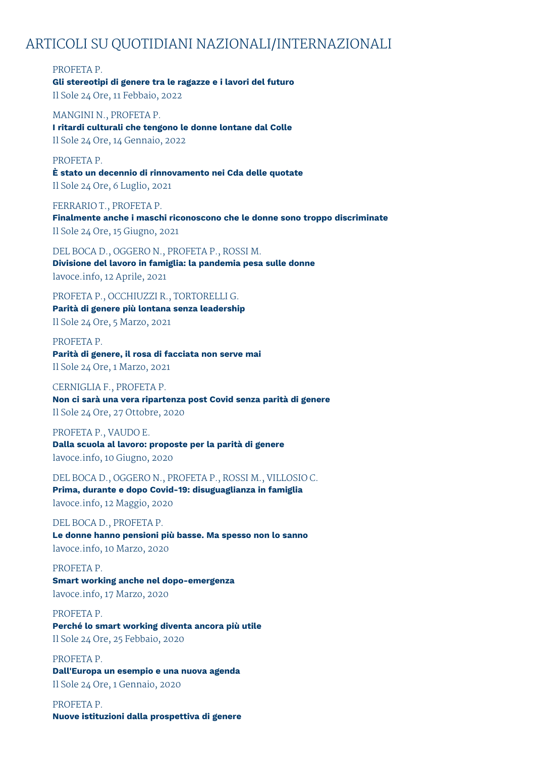### ARTICOLI SU QUOTIDIANI NAZIONALI/INTERNAZIONALI

PROFETA P.

# **Gli stereotipi di genere tra le ragazze e i lavori del futuro**

Il Sole 24 Ore, 11 Febbaio, 2022

MANGINI N., PROFETA P. **I ritardi culturali che tengono le donne lontane dal Colle** Il Sole 24 Ore, 14 Gennaio, 2022

PROFETA P. **È stato un decennio di rinnovamento nei Cda delle quotate** Il Sole 24 Ore, 6 Luglio, 2021

FERRARIO T., PROFETA P. **Finalmente anche i maschi riconoscono che le donne sono troppo discriminate** Il Sole 24 Ore, 15 Giugno, 2021

DEL BOCA D., OGGERO N., PROFETA P., ROSSI M. **Divisione del lavoro in famiglia: la pandemia pesa sulle donne** lavoce.info, 12 Aprile, 2021

PROFETA P., OCCHIUZZI R., TORTORELLI G. **Parità di genere più lontana senza leadership** Il Sole 24 Ore, 5 Marzo, 2021

PROFETA P. **Parità di genere, il rosa di facciata non serve mai** Il Sole 24 Ore, 1 Marzo, 2021

CERNIGLIA F., PROFETA P. **Non ci sarà una vera ripartenza post Covid senza parità di genere** Il Sole 24 Ore, 27 Ottobre, 2020

PROFETA P., VAUDO E. **Dalla scuola al lavoro: proposte per la parità di genere** lavoce.info, 10 Giugno, 2020

DEL BOCA D., OGGERO N., PROFETA P., ROSSI M., VILLOSIO C. **Prima, durante e dopo Covid-19: disuguaglianza in famiglia** lavoce.info, 12 Maggio, 2020

DEL BOCA D., PROFETA P. **Le donne hanno pensioni più basse. Ma spesso non lo sanno** lavoce.info, 10 Marzo, 2020

PROFETA P. **Smart working anche nel dopo-emergenza** lavoce.info, 17 Marzo, 2020

PROFETA P. **Perché lo smart working diventa ancora più utile**

Il Sole 24 Ore, 25 Febbaio, 2020

PROFETA P.

**Dall'Europa un esempio e una nuova agenda** Il Sole 24 Ore, 1 Gennaio, 2020

PROFETA P. **Nuove istituzioni dalla prospettiva di genere**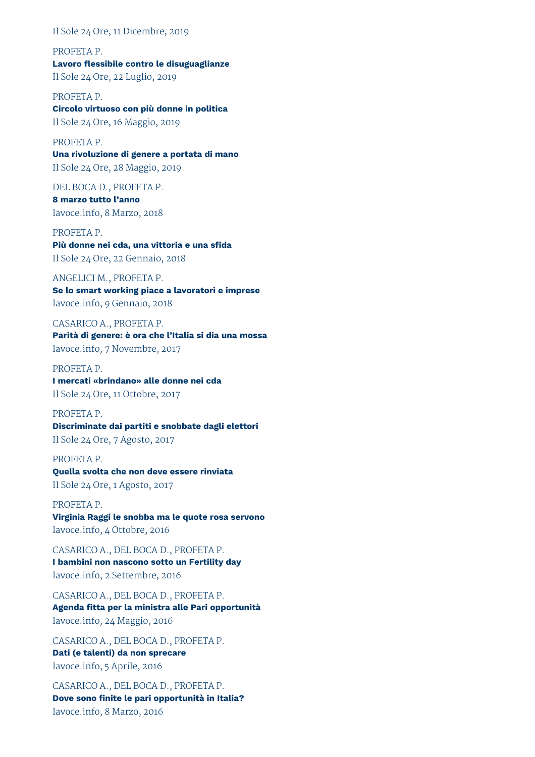Il Sole 24 Ore, 11 Dicembre, 2019

PROFETA P. **Lavoro flessibile contro le disuguaglianze** Il Sole 24 Ore, 22 Luglio, 2019

PROFETA P. **Circolo virtuoso con più donne in politica** Il Sole 24 Ore, 16 Maggio, 2019

PROFETA P. **Una rivoluzione di genere a portata di mano** Il Sole 24 Ore, 28 Maggio, 2019

DEL BOCA D., PROFETA P. **8 marzo tutto l'anno** lavoce.info, 8 Marzo, 2018

PROFETA P. **Più donne nei cda, una vittoria e una sfida** Il Sole 24 Ore, 22 Gennaio, 2018

ANGELICI M., PROFETA P. **Se lo smart working piace a lavoratori e imprese** lavoce.info, 9 Gennaio, 2018

CASARICO A., PROFETA P. **Parità di genere: è ora che l'Italia si dia una mossa** lavoce.info, 7 Novembre, 2017

PROFETA P. **I mercati «brindano» alle donne nei cda** Il Sole 24 Ore, 11 Ottobre, 2017

PROFETA P. **Discriminate dai partiti e snobbate dagli elettori** Il Sole 24 Ore, 7 Agosto, 2017

PROFETA P. **Quella svolta che non deve essere rinviata** Il Sole 24 Ore, 1 Agosto, 2017

PROFETA P. **Virginia Raggi le snobba ma le quote rosa servono** lavoce.info, 4 Ottobre, 2016

CASARICO A., DEL BOCA D., PROFETA P. **I bambini non nascono sotto un Fertility day** lavoce.info, 2 Settembre, 2016

CASARICO A., DEL BOCA D., PROFETA P. **Agenda fitta per la ministra alle Pari opportunità** lavoce.info, 24 Maggio, 2016

CASARICO A., DEL BOCA D., PROFETA P. **Dati (e talenti) da non sprecare** lavoce.info, 5 Aprile, 2016

CASARICO A., DEL BOCA D., PROFETA P. **Dove sono finite le pari opportunità in Italia?** lavoce.info, 8 Marzo, 2016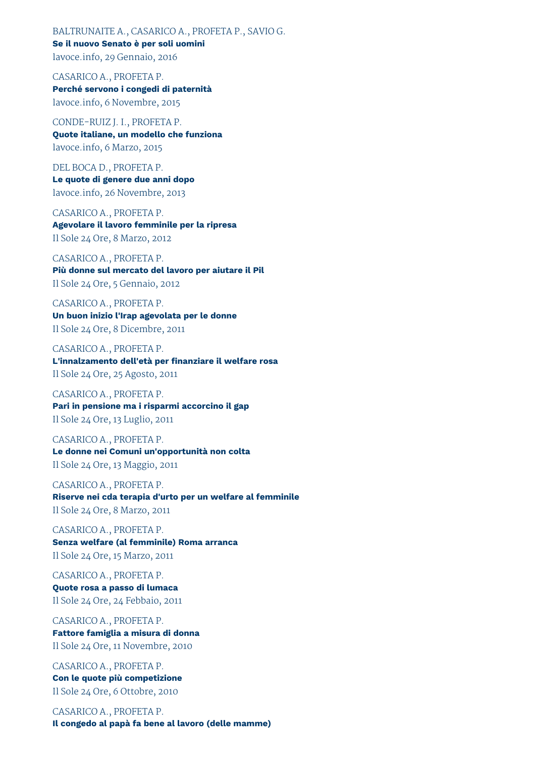BALTRUNAITE A., CASARICO A., PROFETA P., SAVIO G. **Se il nuovo Senato è per soli uomini** lavoce.info, 29 Gennaio, 2016

CASARICO A., PROFETA P. **Perché servono i congedi di paternità** lavoce.info, 6 Novembre, 2015

CONDE-RUIZ J. I., PROFETA P. **Quote italiane, un modello che funziona** lavoce.info, 6 Marzo, 2015

DEL BOCA D., PROFETA P. **Le quote di genere due anni dopo** lavoce.info, 26 Novembre, 2013

CASARICO A., PROFETA P. **Agevolare il lavoro femminile per la ripresa** Il Sole 24 Ore, 8 Marzo, 2012

CASARICO A., PROFETA P. **Più donne sul mercato del lavoro per aiutare il Pil** Il Sole 24 Ore, 5 Gennaio, 2012

CASARICO A., PROFETA P. **Un buon inizio l'Irap agevolata per le donne** Il Sole 24 Ore, 8 Dicembre, 2011

CASARICO A., PROFETA P. **L'innalzamento dell'età per finanziare il welfare rosa** Il Sole 24 Ore, 25 Agosto, 2011

CASARICO A., PROFETA P. **Pari in pensione ma i risparmi accorcino il gap** Il Sole 24 Ore, 13 Luglio, 2011

CASARICO A., PROFETA P. **Le donne nei Comuni un'opportunità non colta** Il Sole 24 Ore, 13 Maggio, 2011

CASARICO A., PROFETA P. **Riserve nei cda terapia d'urto per un welfare al femminile** Il Sole 24 Ore, 8 Marzo, 2011

CASARICO A., PROFETA P. **Senza welfare (al femminile) Roma arranca** Il Sole 24 Ore, 15 Marzo, 2011

CASARICO A., PROFETA P. **Quote rosa a passo di lumaca** Il Sole 24 Ore, 24 Febbaio, 2011

CASARICO A., PROFETA P. **Fattore famiglia a misura di donna** Il Sole 24 Ore, 11 Novembre, 2010

CASARICO A., PROFETA P. **Con le quote più competizione** Il Sole 24 Ore, 6 Ottobre, 2010

CASARICO A., PROFETA P. **Il congedo al papà fa bene al lavoro (delle mamme)**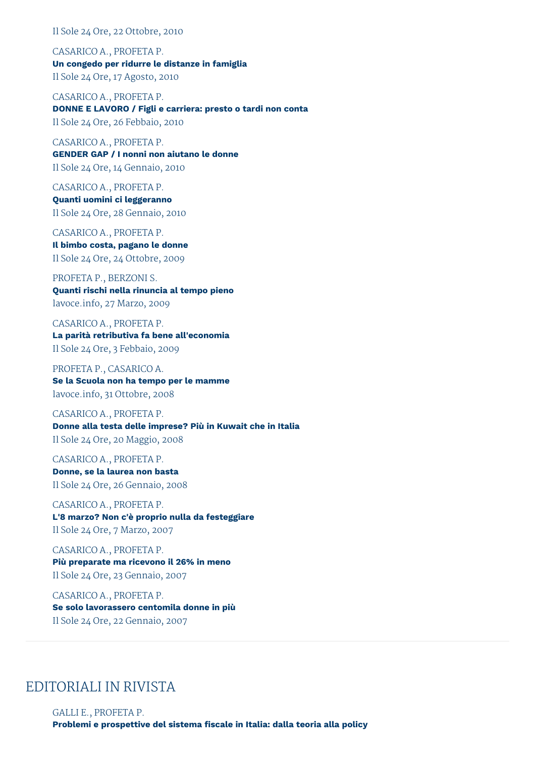Il Sole 24 Ore, 22 Ottobre, 2010

CASARICO A., PROFETA P. **Un congedo per ridurre le distanze in famiglia** Il Sole 24 Ore, 17 Agosto, 2010

CASARICO A., PROFETA P. **DONNE E LAVORO / Figli e carriera: presto o tardi non conta** Il Sole 24 Ore, 26 Febbaio, 2010

CASARICO A., PROFETA P. **GENDER GAP / I nonni non aiutano le donne** Il Sole 24 Ore, 14 Gennaio, 2010

CASARICO A., PROFETA P. **Quanti uomini ci leggeranno** Il Sole 24 Ore, 28 Gennaio, 2010

CASARICO A., PROFETA P. **Il bimbo costa, pagano le donne** Il Sole 24 Ore, 24 Ottobre, 2009

# PROFETA P., BERZONI S.

**Quanti rischi nella rinuncia al tempo pieno** lavoce.info, 27 Marzo, 2009

CASARICO A., PROFETA P. **La parità retributiva fa bene all'economia** Il Sole 24 Ore, 3 Febbaio, 2009

PROFETA P., CASARICO A. **Se la Scuola non ha tempo per le mamme** lavoce.info, 31 Ottobre, 2008

CASARICO A., PROFETA P. **Donne alla testa delle imprese? Più in Kuwait che in Italia** Il Sole 24 Ore, 20 Maggio, 2008

CASARICO A., PROFETA P. **Donne, se la laurea non basta** Il Sole 24 Ore, 26 Gennaio, 2008

CASARICO A., PROFETA P. **L'8 marzo? Non c'è proprio nulla da festeggiare** Il Sole 24 Ore, 7 Marzo, 2007

CASARICO A., PROFETA P. **Più preparate ma ricevono il 26% in meno** Il Sole 24 Ore, 23 Gennaio, 2007

CASARICO A., PROFETA P. **Se solo lavorassero centomila donne in più** Il Sole 24 Ore, 22 Gennaio, 2007

# EDITORIALI IN RIVISTA

GALLI E., PROFETA P. **Problemi e prospettive del sistema fiscale in Italia: dalla teoria alla policy**